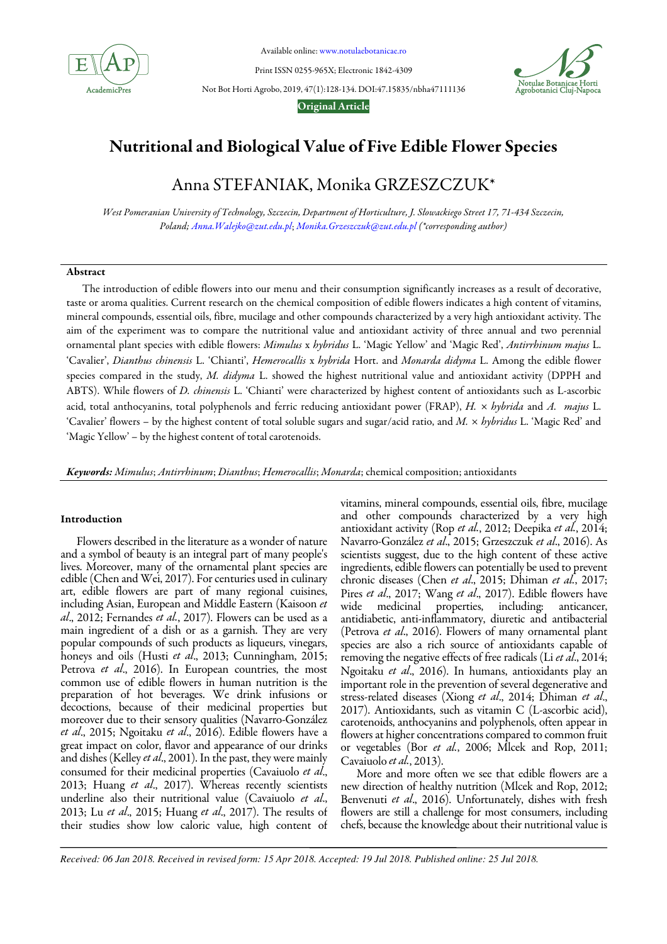

Available online: www.notulaebotanicae.ro

Print ISSN 0255-965X; Electronic 1842-4309

Not Bot Horti Agrobo, 2019, 47(1):128-134. DOI:47.15835/nbha47111136





# Nutritional and Biological Value of Five Edible Flower Species

# Anna STEFANIAK, Monika GRZESZCZUK\*

West Pomeranian University of Technology, Szczecin, Department of Horticulture, J. Słowackiego Street 17, 71-434 Szczecin, Poland; Anna.Walejko@zut.edu.pl; Monika.Grzeszczuk@zut.edu.pl (\*corresponding author)

## Abstract

The introduction of edible flowers into our menu and their consumption significantly increases as a result of decorative, taste or aroma qualities. Current research on the chemical composition of edible flowers indicates a high content of vitamins, mineral compounds, essential oils, fibre, mucilage and other compounds characterized by a very high antioxidant activity. The aim of the experiment was to compare the nutritional value and antioxidant activity of three annual and two perennial ornamental plant species with edible flowers: Mimulus x hybridus L. 'Magic Yellow' and 'Magic Red', Antirrhinum majus L. 'Cavalier', Dianthus chinensis L. 'Chianti', Hemerocallis x hybrida Hort. and Monarda didyma L. Among the edible flower species compared in the study, M. didyma L. showed the highest nutritional value and antioxidant activity (DPPH and ABTS). While flowers of *D. chinensis* L. 'Chianti' were characterized by highest content of antioxidants such as L-ascorbic acid, total anthocyanins, total polyphenols and ferric reducing antioxidant power (FRAP), H. x hybrida and A. majus L. 'Cavalier' flowers – by the highest content of total soluble sugars and sugar/acid ratio, and M. x hybridus L. 'Magic Red' and 'Magic Yellow' – by the highest content of total carotenoids.

Keywords: Mimulus; Antirrhinum; Dianthus; Hemerocallis; Monarda; chemical composition; antioxidants

## Introduction

Flowers described in the literature as a wonder of nature and a symbol of beauty is an integral part of many people's lives. Moreover, many of the ornamental plant species are edible (Chen and Wei, 2017). For centuries used in culinary art, edible flowers are part of many regional cuisines, including Asian, European and Middle Eastern (Kaisoon et al., 2012; Fernandes et al., 2017). Flowers can be used as a main ingredient of a dish or as a garnish. They are very popular compounds of such products as liqueurs, vinegars, honeys and oils (Husti et al., 2013; Cunningham, 2015; Petrova et al., 2016). In European countries, the most common use of edible flowers in human nutrition is the preparation of hot beverages. We drink infusions or decoctions, because of their medicinal properties but moreover due to their sensory qualities (Navarro-González et al., 2015; Ngoitaku et al., 2016). Edible flowers have a great impact on color, flavor and appearance of our drinks and dishes (Kelley et al., 2001). In the past, they were mainly consumed for their medicinal properties (Cavaiuolo et al., 2013; Huang et al., 2017). Whereas recently scientists underline also their nutritional value (Cavaiuolo et al., 2013; Lu et al., 2015; Huang et al., 2017). The results of their studies show low caloric value, high content of vitamins, mineral compounds, essential oils, fibre, mucilage and other compounds characterized by a very high antioxidant activity (Rop et al., 2012; Deepika et al., 2014; Navarro-González et al., 2015; Grzeszczuk et al., 2016). As scientists suggest, due to the high content of these active ingredients, edible flowers can potentially be used to prevent chronic diseases (Chen et al., 2015; Dhiman et al., 2017; Pires et al., 2017; Wang et al., 2017). Edible flowers have wide medicinal properties, including: anticancer, antidiabetic, anti-inflammatory, diuretic and antibacterial (Petrova et al., 2016). Flowers of many ornamental plant species are also a rich source of antioxidants capable of removing the negative effects of free radicals (Li et al., 2014; Ngoitaku et al., 2016). In humans, antioxidants play an important role in the prevention of several degenerative and stress-related diseases (Xiong et al., 2014; Dhiman et al., 2017). Antioxidants, such as vitamin C (L-ascorbic acid), carotenoids, anthocyanins and polyphenols, often appear in flowers at higher concentrations compared to common fruit or vegetables (Bor et al., 2006; Mlcek and Rop, 2011; Cavaiuolo et al., 2013).

More and more often we see that edible flowers are a new direction of healthy nutrition (Mlcek and Rop, 2012; Benvenuti et al., 2016). Unfortunately, dishes with fresh flowers are still a challenge for most consumers, including chefs, because the knowledge about their nutritional value is

*Received: 06 Jan 2018. Received in revised form: 15 Apr 2018. Accepted: 19 Jul 2018. Published online: 25 Jul 2018.*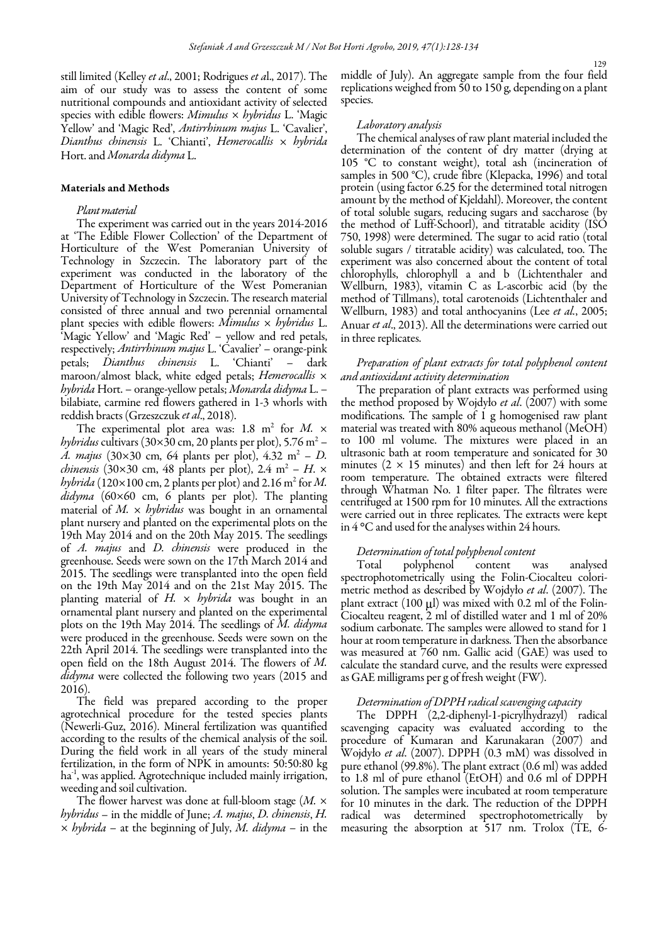still limited (Kelley et al., 2001; Rodrigues et al., 2017). The aim of our study was to assess the content of some nutritional compounds and antioxidant activity of selected species with edible flowers: *Mimulus*  $\times$  *hybridus* L. 'Magic Yellow' and 'Magic Red', Antirrhinum majus L. 'Cavalier', Dianthus chinensis L. 'Chianti', Hemerocallis  $\times$  hybrida Hort. and Monarda didyma L.

## Materials and Methods

## Plant material

The experiment was carried out in the years 2014-2016 at 'The Edible Flower Collection' of the Department of Horticulture of the West Pomeranian University of Technology in Szczecin. The laboratory part of the experiment was conducted in the laboratory of the Department of Horticulture of the West Pomeranian University of Technology in Szczecin. The research material consisted of three annual and two perennial ornamental plant species with edible flowers: Mimulus  $\times$  hybridus L. 'Magic Yellow' and 'Magic Red' – yellow and red petals, respectively; Antirrhinum majus L. 'Cavalier' – orange-pink petals; Dianthus chinensis L. 'Chianti' – dark maroon/almost black, white edged petals; *Hemerocallis*  $\times$ hybrida Hort. – orange-yellow petals; Monarda didyma L. – bilabiate, carmine red flowers gathered in 1-3 whorls with reddish bracts (Grzeszczuk et al., 2018).

The experimental plot area was: 1.8 m<sup>2</sup> for M.  $\times$ *hybridus* cultivars (30×30 cm, 20 plants per plot), 5.76 m<sup>2</sup> – A. majus (30×30 cm, 64 plants per plot), 4.32 m<sup>2</sup> – D. *chinensis* (30×30 cm, 48 plants per plot), 2.4 m<sup>2</sup> – H. × *hybrida* (120×100 cm, 2 plants per plot) and 2.16 m<sup>2</sup> for M. didyma (60×60 cm, 6 plants per plot). The planting material of  $M. \times$  hybridus was bought in an ornamental plant nursery and planted on the experimental plots on the 19th May 2014 and on the 20th May 2015. The seedlings of A. majus and D. chinensis were produced in the greenhouse. Seeds were sown on the 17th March 2014 and 2015. The seedlings were transplanted into the open field on the 19th May 2014 and on the 21st May 2015. The planting material of  $H$ .  $\times$  *hybrida* was bought in an ornamental plant nursery and planted on the experimental plots on the 19th May 2014. The seedlings of M. didyma were produced in the greenhouse. Seeds were sown on the 22th April 2014. The seedlings were transplanted into the open field on the 18th August 2014. The flowers of M. didyma were collected the following two years (2015 and 2016).

The field was prepared according to the proper agrotechnical procedure for the tested species plants (Newerli-Guz, 2016). Mineral fertilization was quantified according to the results of the chemical analysis of the soil. During the field work in all years of the study mineral fertilization, in the form of NPK in amounts: 50:50:80 kg ha<sup>-1</sup>, was applied. Agrotechnique included mainly irrigation, weeding and soil cultivation.

The flower harvest was done at full-bloom stage  $(M, \times)$ hybridus – in the middle of June; A. majus, D. chinensis, H.  $\times$  hybrida – at the beginning of July, M. didyma – in the middle of July). An aggregate sample from the four field replications weighed from 50 to 150 g, depending on a plant species.

#### Laboratory analysis

The chemical analyses of raw plant material included the determination of the content of dry matter (drying at 105 °C to constant weight), total ash (incineration of samples in 500 °C), crude fibre (Klepacka, 1996) and total protein (using factor 6.25 for the determined total nitrogen amount by the method of Kjeldahl). Moreover, the content of total soluble sugars, reducing sugars and saccharose (by the method of Luff-Schoorl), and titratable acidity (ISO 750, 1998) were determined. The sugar to acid ratio (total soluble sugars / titratable acidity) was calculated, too. The experiment was also concerned about the content of total chlorophylls, chlorophyll a and b (Lichtenthaler and Wellburn, 1983), vitamin C as L-ascorbic acid (by the method of Tillmans), total carotenoids (Lichtenthaler and Wellburn, 1983) and total anthocyanins (Lee et al., 2005; Anuar et al., 2013). All the determinations were carried out in three replicates.

# Preparation of plant extracts for total polyphenol content and antioxidant activity determination

The preparation of plant extracts was performed using the method proposed by Wojdyło et al.  $(2007)$  with some modifications. The sample of 1 g homogenised raw plant material was treated with 80% aqueous methanol (MeOH) to 100 ml volume. The mixtures were placed in an ultrasonic bath at room temperature and sonicated for 30 minutes ( $2 \times 15$  minutes) and then left for 24 hours at room temperature. The obtained extracts were filtered through Whatman No. 1 filter paper. The filtrates were centrifuged at 1500 rpm for 10 minutes. All the extractions were carried out in three replicates. The extracts were kept in 4 °C and used for the analyses within 24 hours.

#### Determination of total polyphenol content

Total polyphenol content was analysed spectrophotometrically using the Folin-Ciocalteu colorimetric method as described by Wojdyło et al. (2007). The plant extract  $(100 \text{ µ})$  was mixed with 0.2 ml of the Folin-Ciocalteu reagent, 2 ml of distilled water and 1 ml of 20% sodium carbonate. The samples were allowed to stand for 1 hour at room temperature in darkness. Then the absorbance was measured at 760 nm. Gallic acid (GAE) was used to calculate the standard curve, and the results were expressed as GAE milligrams per g of fresh weight (FW).

## Determination of DPPH radical scavenging capacity

The DPPH (2,2-diphenyl-1-picrylhydrazyl) radical scavenging capacity was evaluated according to the procedure of Kumaran and Karunakaran (2007) and Wojdyło et al. (2007). DPPH (0.3 mM) was dissolved in pure ethanol (99.8%). The plant extract (0.6 ml) was added to 1.8 ml of pure ethanol (EtOH) and 0.6 ml of DPPH solution. The samples were incubated at room temperature for 10 minutes in the dark. The reduction of the DPPH radical was determined spectrophotometrically by measuring the absorption at  $517$  nm. Trolox (TE,  $6$ -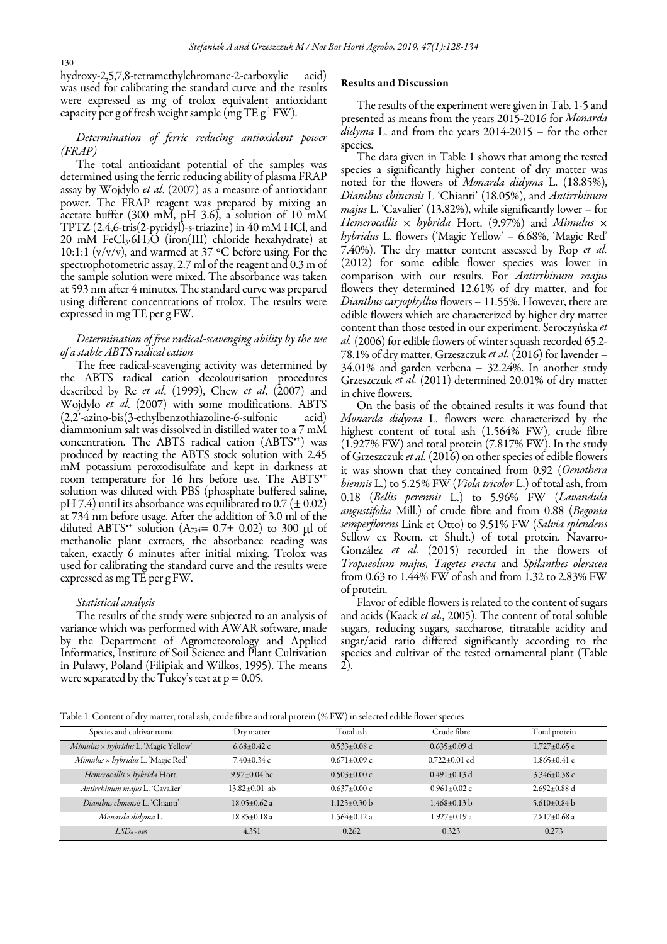hydroxy-2,5,7,8-tetramethylchromane-2-carboxylic acid) was used for calibrating the standard curve and the results were expressed as mg of trolox equivalent antioxidant capacity per g of fresh weight sample (mg  $TE g<sup>-1</sup> FW$ ).

# Determination of ferric reducing antioxidant power (FRAP)

The total antioxidant potential of the samples was determined using the ferric reducing ability of plasma FRAP assay by Wojdyło et al. (2007) as a measure of antioxidant power. The FRAP reagent was prepared by mixing an acetate buffer (300 mM, pH 3.6), a solution of 10 mM TPTZ (2,4,6-tris(2-pyridyl)-s-triazine) in 40 mM HCl, and 20 mM FeCl<sub>3</sub>⋅6H<sub>2</sub>O (iron(III) chloride hexahydrate) at 10:1:1 (v/v/v), and warmed at 37 °C before using. For the spectrophotometric assay, 2.7 ml of the reagent and 0.3 m of the sample solution were mixed. The absorbance was taken at 593 nm after 4 minutes. The standard curve was prepared using different concentrations of trolox. The results were expressed in mg TE per g FW.

## Determination of free radical-scavenging ability by the use of a stable ABTS radical cation

The free radical-scavenging activity was determined by the ABTS radical cation decolourisation procedures described by Re et al. (1999), Chew et al.  $(2007)$  and Wojdyło et al. (2007) with some modifications. ABTS  $(2,2)$ '-azino-bis $(3$ -ethylbenzothiazoline-6-sulfonic diammonium salt was dissolved in distilled water to a 7 mM concentration. The ABTS radical cation  $(ABTS^+)$  was produced by reacting the ABTS stock solution with 2.45 mM potassium peroxodisulfate and kept in darkness at room temperature for 16 hrs before use. The ABTS<sup>\*\*</sup> solution was diluted with PBS (phosphate buffered saline, pH 7.4) until its absorbance was equilibrated to 0.7 ( $\pm$  0.02) at 734 nm before usage. After the addition of 3.0 ml of the diluted ABTS<sup>\*\*</sup> solution (A<sub>734</sub>= 0.7 $\pm$  0.02) to 300  $\mu$ l of methanolic plant extracts, the absorbance reading was taken, exactly 6 minutes after initial mixing. Trolox was used for calibrating the standard curve and the results were expressed as mg TE per g FW.

#### Statistical analysis

The results of the study were subjected to an analysis of variance which was performed with AWAR software, made by the Department of Agrometeorology and Applied Informatics, Institute of Soil Science and Plant Cultivation in Puławy, Poland (Filipiak and Wilkos, 1995). The means were separated by the Tukey's test at  $p = 0.05$ .

#### Results and Discussion

The results of the experiment were given in Tab. 1-5 and presented as means from the years 2015-2016 for Monarda  $did\gamma ma$  L. and from the years 2014-2015 – for the other species.

The data given in Table 1 shows that among the tested species a significantly higher content of dry matter was noted for the flowers of Monarda didyma L. (18.85%), Dianthus chinensis L 'Chianti' (18.05%), and Antirrhinum *majus* L. 'Cavalier' (13.82%), while significantly lower – for Hemerocallis  $\times$  hybrida Hort. (9.97%) and Mimulus  $\times$ hybridus L. flowers ('Magic Yellow' – 6.68%, 'Magic Red' 7.40%). The dry matter content assessed by Rop et al. (2012) for some edible flower species was lower in comparison with our results. For Antirrhinum majus flowers they determined 12.61% of dry matter, and for Dianthus caryophyllus flowers – 11.55%. However, there are edible flowers which are characterized by higher dry matter content than those tested in our experiment. Seroczyńska et al. (2006) for edible flowers of winter squash recorded 65.2- 78.1% of dry matter, Grzeszczuk et al. (2016) for lavender – 34.01% and garden verbena – 32.24%. In another study Grzeszczuk et al. (2011) determined 20.01% of dry matter in chive flowers.

On the basis of the obtained results it was found that Monarda didyma L. flowers were characterized by the highest content of total ash (1.564% FW), crude fibre (1.927% FW) and total protein (7.817% FW). In the study of Grzeszczuk et al. (2016) on other species of edible flowers it was shown that they contained from 0.92 (Oenothera biennis L.) to 5.25% FW (Viola tricolor L.) of total ash, from 0.18 (Bellis perennis L.) to 5.96% FW (Lavandula angustifolia Mill.) of crude fibre and from 0.88 (Begonia semperflorens Link et Otto) to 9.51% FW (Salvia splendens Sellow ex Roem. et Shult.) of total protein. Navarro-González et al. (2015) recorded in the flowers of Tropaeolum majus, Tagetes erecta and Spilanthes oleracea from 0.63 to 1.44% FW of ash and from 1.32 to 2.83% FW of protein.

Flavor of edible flowers is related to the content of sugars and acids (Kaack *et al.*, 2005). The content of total soluble sugars, reducing sugars, saccharose, titratable acidity and sugar/acid ratio differed significantly according to the species and cultivar of the tested ornamental plant (Table 2).

| Table 1. Content of dry matter, total ash, crude fibre and total protein (% FW) in selected edible flower species |  |  |
|-------------------------------------------------------------------------------------------------------------------|--|--|

| Species and cultivar name                   | Dry matter          | Total ash          | Crude fibre        | Total protein      |
|---------------------------------------------|---------------------|--------------------|--------------------|--------------------|
| Mimulus × hybridus L. 'Magic Yellow'        | $6.68\pm0.42$ c     | $0.533 \pm 0.08$ c | $0.635 \pm 0.09$ d | $1.727 \pm 0.65$ e |
| $M$ imulus $\times$ hybridus L. 'Magic Red' | $7.40\pm0.34$ c     | $0.671 \pm 0.09$ c | $0.722+0.01$ cd    | $1.865 \pm 0.41$ e |
| Hemerocallis x hybrida Hort.                | $9.97 \pm 0.04$ bc  | $0.503 \pm 0.00$ c | $0.491 \pm 0.13$ d | $3.346 \pm 0.38$ c |
| Antirrhinum majus L. 'Cavalier'             | $13.82 \pm 0.01$ ab | $0.637 \pm 0.00$ c | $0.961 \pm 0.02$ c | $2.692 \pm 0.88$ d |
| Dianthus chinensis L. 'Chianti'             | $18.05 \pm 0.62$ a  | $1.125 \pm 0.30$ b | $1.468 \pm 0.13$ b | 5.610 $\pm$ 0.84 b |
| Monarda didyma L.                           | $18.85 \pm 0.18$ a  | $1.564 \pm 0.12$ a | $1.927 \pm 0.19$ a | $7.817 \pm 0.68$ a |
| $LSD_{\alpha=0.05}$                         | 4.351               | 0.262              | 0.323              | 0.273              |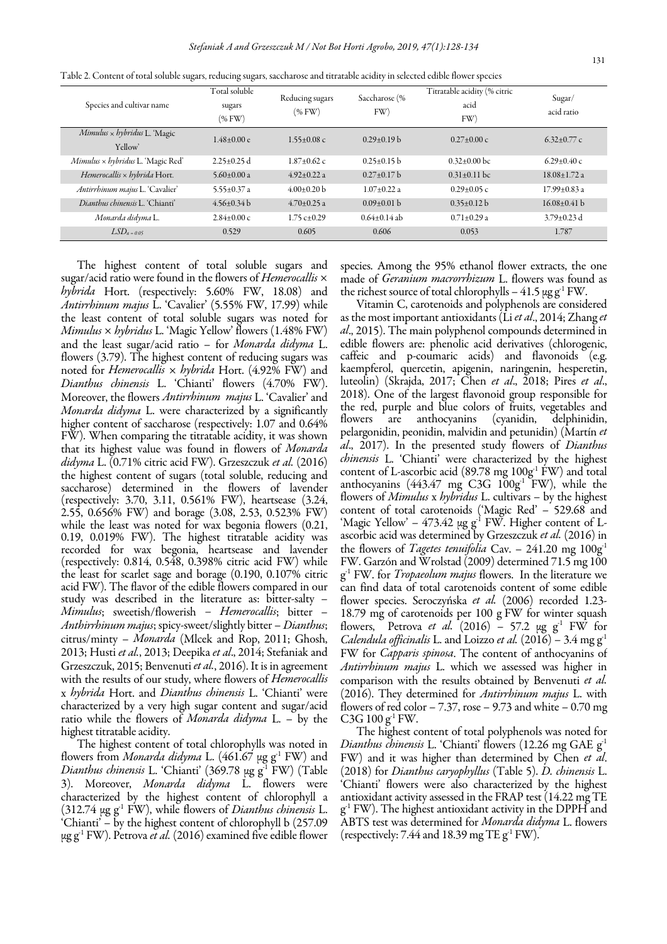| Species and cultivar name                                           | Total soluble<br>sugars<br>$(\%$ FW) | Reducing sugars<br>(%FW)  | Saccharose (%<br>FW) | Titratable acidity (% citric<br>acid<br>FW) | Sugar/<br>acid ratio |
|---------------------------------------------------------------------|--------------------------------------|---------------------------|----------------------|---------------------------------------------|----------------------|
| $M$ <i>imulus <math>\times</math> hybridus</i> L. 'Magic<br>Yellow' | $1.48 + 0.00e$                       | $1.55 + 0.08$ c           | $0.29 \pm 0.19$ b    | $0.27+0.00c$                                | $6.32 \pm 0.77$ c    |
| $M$ <i>imulus <math>\times</math> hybridus</i> L. 'Magic Red'       | $2.25 \pm 0.25$ d                    | $1.87+0.62$ c             | $0.25 \pm 0.15$ b    | $0.32+0.00$ bc                              | $6.29 \pm 0.40$ c    |
| Hemerocallis $\times$ hybrida Hort.                                 | 5.60 $\pm$ 0.00 a                    | $4.92 \pm 0.22$ a         | $0.27 \pm 0.17$ b    | $0.31 \pm 0.11$ bc                          | $18.08 \pm 1.72$ a   |
| Antirrhinum majus L. 'Cavalier'                                     | 5.55 $\pm$ 0.37 a                    | $4.00\pm0.20$ b           | $1.07 + 0.22$ a      | $0.29 \pm 0.05$ c                           | $17.99 \pm 0.83$ a   |
| Dianthus chinensis L. 'Chianti'                                     | $4.56 \pm 0.34 b$                    | $4.70 \pm 0.25$ a         | $0.09\pm0.01$ b      | $0.35 \pm 0.12$ b                           | $16.08 \pm 0.41$ b   |
| Monarda didyma L.                                                   | $2.84+0.00c$                         | $1.75 \text{ c} \pm 0.29$ | $0.64+0.14$ ab       | $0.71 \pm 0.29$ a                           | $3.79\pm0.23$ d      |
| $LSD_{\alpha=0.05}$                                                 | 0.529                                | 0.605                     | 0.606                | 0.053                                       | 1.787                |

Table 2. Content of total soluble sugars, reducing sugars, saccharose and titratable acidity in selected edible flower species

The highest content of total soluble sugars and sugar/acid ratio were found in the flowers of *Hemerocallis*  $\times$ hybrida Hort. (respectively: 5.60% FW, 18.08) and Antirrhinum majus L. 'Cavalier' (5.55% FW, 17.99) while the least content of total soluble sugars was noted for  $Mimulus \times hybridus$  L. 'Magic Yellow' flowers (1.48% FW) and the least sugar/acid ratio – for Monarda didyma L. flowers (3.79). The highest content of reducing sugars was noted for *Hemerocallis*  $\times$  *hybrida* Hort. (4.92% FW) and Dianthus chinensis L. 'Chianti' flowers (4.70% FW). Moreover, the flowers Antirrhinum majus L. 'Cavalier' and Monarda didyma L. were characterized by a significantly higher content of saccharose (respectively: 1.07 and 0.64%) FW). When comparing the titratable acidity, it was shown that its highest value was found in flowers of Monarda didyma L. (0.71% citric acid FW). Grzeszczuk et al. (2016) the highest content of sugars (total soluble, reducing and saccharose) determined in the flowers of lavender (respectively: 3.70, 3.11, 0.561% FW), heartsease (3.24, 2.55, 0.656% FW) and borage (3.08, 2.53, 0.523% FW) while the least was noted for wax begonia flowers  $(0.21, 1.1)$ 0.19, 0.019% FW). The highest titratable acidity was recorded for wax begonia, heartsease and lavender (respectively:  $0.814$ ,  $0.548$ ,  $0.398\%$  citric acid FW) while the least for scarlet sage and borage (0.190, 0.107% citric acid FW). The flavor of the edible flowers compared in our study was described in the literature as: bitter-salty – Mimulus; sweetish/flowerish – Hemerocallis; bitter – Anthirrhinum majus; spicy-sweet/slightly bitter – Dianthus; citrus/minty – Monarda (Mlcek and Rop, 2011; Ghosh, 2013; Husti et al., 2013; Deepika et al., 2014; Stefaniak and Grzeszczuk, 2015; Benvenuti et al., 2016). It is in agreement with the results of our study, where flowers of Hemerocallis x hybrida Hort. and Dianthus chinensis L. 'Chianti' were characterized by a very high sugar content and sugar/acid ratio while the flowers of *Monarda didyma* L. – by the highest titratable acidity.

The highest content of total chlorophylls was noted in flowers from *Monarda didyma* L. (461.67  $\mu$ g g<sup>-1</sup> FW) and Dianthus chinensis L. 'Chianti' (369.78  $\mu$ g g<sup>-1</sup> FW) (Table 3). Moreover, Monarda didyma L. flowers were characterized by the highest content of chlorophyll a (312.74  $\mu$ g g<sup>-1</sup> FW), while flowers of *Dianthus chinensis* L. 'Chianti' – by the highest content of chlorophyll b (257.09  $\mu$ g g<sup>-1</sup> FW). Petrova *et al.* (2016) examined five edible flower

species. Among the 95% ethanol flower extracts, the one made of Geranium macrorrhizum L. flowers was found as the richest source of total chlorophylls  $-41.5 \mu g g^{-1} FW$ .

Vitamin C, carotenoids and polyphenols are considered as the most important antioxidants (Li et al., 2014; Zhang et al., 2015). The main polyphenol compounds determined in edible flowers are: phenolic acid derivatives (chlorogenic, caffeic and p-coumaric acids) and flavonoids (e.g. kaempferol, quercetin, apigenin, naringenin, hesperetin, luteolin) (Skrajda, 2017; Chen et al., 2018; Pires et al., 2018). One of the largest flavonoid group responsible for the red, purple and blue colors of fruits, vegetables and flowers are anthocyanins (cyanidin, pelargonidin, peonidin, malvidin and petunidin) (Martín et al., 2017). In the presented study flowers of Dianthus chinensis L. 'Chianti' were characterized by the highest content of L-ascorbic acid (89.78 mg  $100g<sup>-1</sup>FW$ ) and total anthocyanins  $(443.47 \text{ mg } C3G \cdot 100g^1 \text{ FW})$ , while the flowers of Mimulus x hybridus L. cultivars - by the highest content of total carotenoids ('Magic Red' – 529.68 and 'Magic Yellow' – 473.42 µg g<sup>1</sup> FW. Higher content of Lascorbic acid was determined by Grzeszczuk et al. (2016) in the flowers of *Tagetes tenuifolia* Cav. – 241.20 mg  $100g<sup>1</sup>$ FW. Garzón and Wrolstad (2009) determined 71.5 mg 100 g<sup>1</sup> FW. for *Tropaeolum majus* flowers. In the literature we can find data of total carotenoids content of some edible flower species. Seroczyńska et al. (2006) recorded 1.23-18.79 mg of carotenoids per 100 g FW for winter squash flowers, Petrova et al.  $(2016)$  – 57.2 µg g<sup>1</sup> FW for Calendula officinalis L. and Loizzo et al.  $(2016)$  – 3.4 mg g<sup>-1</sup> FW for Capparis spinosa. The content of anthocyanins of Antirrhinum majus L. which we assessed was higher in comparison with the results obtained by Benvenuti et al. (2016). They determined for Antirrhinum majus L. with flowers of red color  $-7.37$ , rose  $-9.73$  and white  $-0.70$  mg C3G  $100 \text{ g}^{-1}$  FW.

The highest content of total polyphenols was noted for *Dianthus chinensis* L. 'Chianti' flowers (12.26 mg GAE  $g<sup>-1</sup>$ FW) and it was higher than determined by Chen et al. (2018) for Dianthus caryophyllus (Table 5). D. chinensis L. 'Chianti' flowers were also characterized by the highest antioxidant activity assessed in the FRAP test (14.22 mg TE  $g<sup>-1</sup>$  FW). The highest antioxidant activity in the DPPH and ABTS test was determined for Monarda didyma L. flowers (respectively: 7.44 and 18.39 mg TE  $g^1$  FW).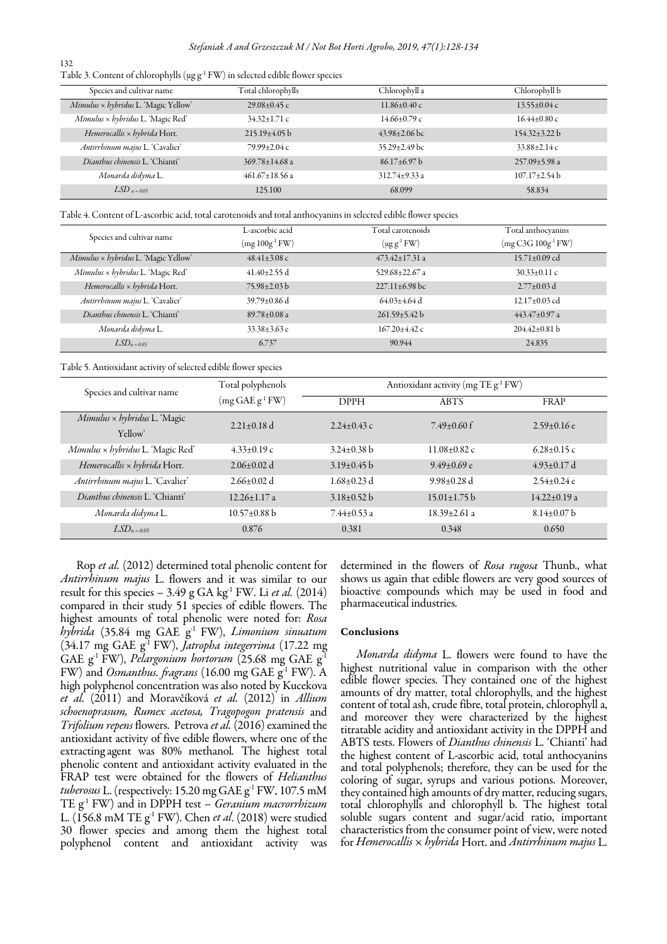| Table 3. Content of chlorophylls ( $\mu$ g g <sup>-1</sup> FW) in selected edible flower species |  |  |
|--------------------------------------------------------------------------------------------------|--|--|
|--------------------------------------------------------------------------------------------------|--|--|

132

| Species and cultivar name            | Total chlorophylls   | Chlorophyll a       | Chlorophyll b       |
|--------------------------------------|----------------------|---------------------|---------------------|
| Mimulus × hybridus L. 'Magic Yellow' | $29.08 \pm 0.45$ c   | $11.86 \pm 0.40$ c  | $13.55 \pm 0.04$ c  |
| Mimulus × hybridus L. 'Magic Red'    | $34.32 \pm 1.71$ c   | $14.66 \pm 0.79$ c  | $16.44 \pm 0.80$ c  |
| Hemerocallis $\times$ hybrida Hort.  | $215.19\pm4.05 b$    | $43.98 \pm 2.06$ bc | $154.32 \pm 3.22 b$ |
| Antirrhinum majus L. 'Cavalier'      | 79.99±2.04 c         | $35.29 \pm 2.49$ bc | $33.88 \pm 2.14$ c  |
| Dianthus chinensis L. 'Chianti'      | $369.78 \pm 14.68$ a | $86.17\pm6.97$ b    | $257.09 \pm 5.98$ a |
| Monarda didyma L.                    | $461.67 \pm 18.56$ a | $312.74 \pm 9.33$ a | $107.17 \pm 2.54 b$ |
| $LSD$ $a = 0.05$                     | 125.100              | 68.099              | 58.834              |

Table 4. Content of L-ascorbic acid, total carotenoids and total anthocyanins in selected edible flower species

|                                                                  | L-ascorbic acid            | Total carotenoids    | Total anthocyanins  |
|------------------------------------------------------------------|----------------------------|----------------------|---------------------|
| Species and cultivar name                                        | $(mg 100g-1 FW)$           | $(\mu g g^{-1} F W)$ |                     |
| $M$ <i>imulus <math>\times</math> hybridus</i> L. 'Magic Yellow' | $48.41 \pm 3.08$ c         | $473.42 \pm 17.31$ a | $15.71 \pm 0.09$ cd |
| Mimulus × hybridus L. 'Magic Red'                                | $41.40\pm2.55$ d           | 529.68 $\pm$ 22.67 a | $30.33 \pm 0.11$ c  |
| Hemerocallis $\times$ hybrida Hort.                              | $75.98 \pm 2.03 \text{ b}$ | $227.11 \pm 6.98$ bc | $2.77 \pm 0.03$ d   |
| Antirrhinum majus L. 'Cavalier'                                  | $39.79 \pm 0.86$ d         | $64.03 \pm 4.64$ d   | $12.17\pm0.03$ cd   |
| Dianthus chinensis L. 'Chianti'                                  | $89.78 \pm 0.08$ a         | $261.59 \pm 5.42 b$  | $443.47 \pm 0.97$ a |
| Monarda didyma L.                                                | $33.38 \pm 3.63$ e         | $167.20 \pm 4.42$ c  | $204.42 \pm 0.81$ b |
| $LSD_{\alpha=0.05}$                                              | 6.737                      | 90.944               | 24.835              |

#### Table 5. Antioxidant activity of selected edible flower species

| Species and cultivar name                                       | Total polyphenols  |                   | Antioxidant activity (mg TE g <sup>-1</sup> FW) |                    |  |
|-----------------------------------------------------------------|--------------------|-------------------|-------------------------------------------------|--------------------|--|
|                                                                 | $(mg GAE g-1 FW)$  | <b>DPPH</b>       | <b>ABTS</b>                                     | FRAP               |  |
| $M$ <i>imulus</i> $\times$ <i>hybridus</i> L. 'Magic<br>Yellow' | $2.21+0.18$ d      | $2.24+0.43c$      | $7.49+0.60$ f                                   | $2.59+0.16e$       |  |
| Mimulus × hybridus L. 'Magic Red'                               | $4.33 \pm 0.19$ c  | $3.24 \pm 0.38$ b | $11.08 \pm 0.82$ c                              | $6.28 \pm 0.15$ c  |  |
| Hemerocallis x hybrida Hort.                                    | $2.06\pm0.02$ d    | $3.19\pm0.45$ b   | $9.49 + 0.69$ e                                 | $4.93 \pm 0.17$ d  |  |
| Antirrhinum majus L. 'Cavalier'                                 | $2.66 + 0.02$ d    | $1.68 \pm 0.23$ d | $9.98 \pm 0.28$ d                               | $2.54+0.24e$       |  |
| Dianthus chinensis L. 'Chianti'                                 | $12.26 + 1.17$ a   | $3.18 \pm 0.52 b$ | $15.01 \pm 1.75 b$                              | $14.22 \pm 0.19$ a |  |
| Monarda didyma L.                                               | $10.57 \pm 0.88$ b | $7.44 \pm 0.53$ a | $18.39 + 2.61a$                                 | $8.14 \pm 0.07$ b  |  |
| $LSD_{\alpha=0.05}$                                             | 0.876              | 0.381             | 0.348                                           | 0.650              |  |

Rop et al. (2012) determined total phenolic content for Antirrhinum majus L. flowers and it was similar to our result for this species - 3.49 g GA kg<sup>-1</sup> FW. Li et al. (2014) compared in their study 51 species of edible flowers. The highest amounts of total phenolic were noted for: Rosa hybrida (35.84 mg GAE  $g^1$  FW), Limonium sinuatum (34.17 mg GAE g<sup>-1</sup> FW), Jatropha integerrima (17.22 mg GAE  $g^1$  FW), Pelargonium hortorum (25.68 mg GAE  $g^1$ FW) and Osmanthus. fragrans (16.00 mg GAE g<sup>-1</sup> FW). A high polyphenol concentration was also noted by Kucekova et al. (2011) and Moravčíková et al. (2012) in Allium schoenoprasum, Rumex acetosa, Tragopogon pratensis and Trifolium repens flowers. Petrova et al. (2016) examined the antioxidant activity of five edible flowers, where one of the extracting agent was 80% methanol. The highest total phenolic content and antioxidant activity evaluated in the FRAP test were obtained for the flowers of Helianthus tuberosus L. (respectively: 15.20 mg GAE g<sup>-1</sup> FW, 107.5 mM TE  $g^1$  FW) and in DPPH test – Geranium macrorrhizum L. (156.8 mM TE  $g<sup>-1</sup>$  FW). Chen et al. (2018) were studied 30 flower species and among them the highest total polyphenol content and antioxidant activity was

determined in the flowers of Rosa rugosa Thunb., what shows us again that edible flowers are very good sources of bioactive compounds which may be used in food and pharmaceutical industries.

## Conclusions

Monarda didyma L. flowers were found to have the highest nutritional value in comparison with the other edible flower species. They contained one of the highest amounts of dry matter, total chlorophylls, and the highest content of total ash, crude fibre, total protein, chlorophyll a, and moreover they were characterized by the highest titratable acidity and antioxidant activity in the DPPH and ABTS tests. Flowers of Dianthus chinensis L. 'Chianti' had the highest content of L-ascorbic acid, total anthocyanins and total polyphenols; therefore, they can be used for the coloring of sugar, syrups and various potions. Moreover, they contained high amounts of dry matter, reducing sugars, total chlorophylls and chlorophyll b. The highest total soluble sugars content and sugar/acid ratio, important characteristics from the consumer point of view, were noted for Hemerocallis  $\times$  hybrida Hort. and Antirrhinum majus L.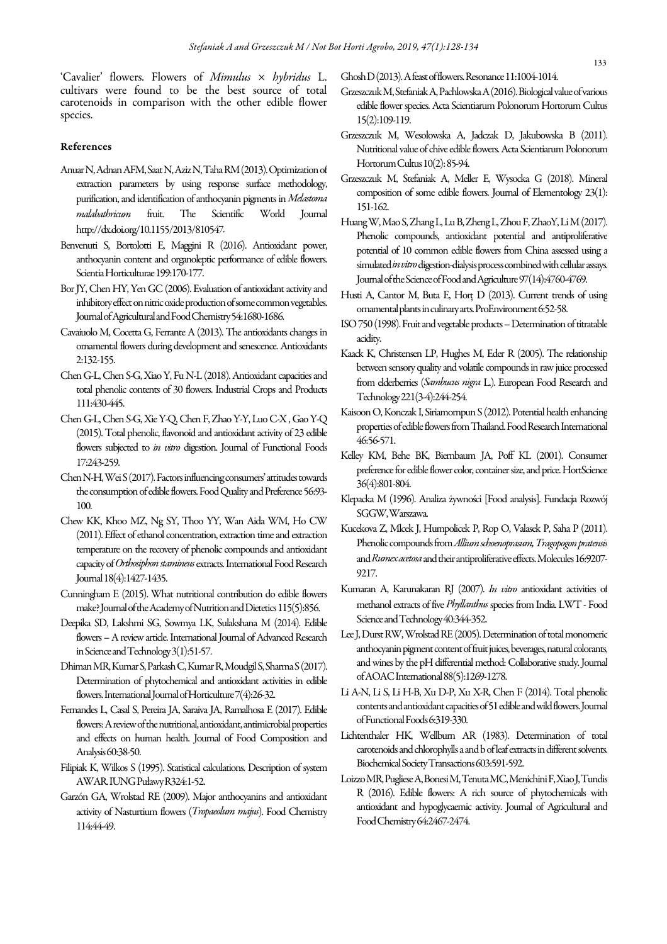'Cavalier' flowers. Flowers of Mimulus × hybridus L. cultivars were found to be the best source of total carotenoids in comparison with the other edible flower species.

#### References

- Anuar N, Adnan AFM, Saat N, Aziz N, Taha RM (2013). Optimization of extraction parameters by using response surface methodology, purification, and identification of anthocyanin pigments in Melastoma malabathricum fruit. The Scientific World Journal http://dx.doi.org/10.1155/2013/810547.
- Benvenuti S, Bortolotti E, Maggini R (2016). Antioxidant power, anthocyanin content and organoleptic performance of edible flowers. Scientia Horticulturae 199:170-177.
- Bor JY, Chen HY, Yen GC (2006). Evaluation of antioxidant activity and inhibitory effect on nitric oxide production of some common vegetables. Journal of Agricultural and Food Chemistry 54:1680-1686.
- Cavaiuolo M, Cocetta G, Ferrante A (2013). The antioxidants changes in ornamental flowers during development and senescence. Antioxidants 2:132-155.
- Chen G-L, Chen S-G, Xiao Y, Fu N-L (2018). Antioxidant capacities and total phenolic contents of 30 flowers. Industrial Crops and Products 111:430-445.
- Chen G-L, Chen S-G, Xie Y-Q, Chen F, Zhao Y-Y, Luo C-X , Gao Y-Q (2015). Total phenolic, flavonoid and antioxidant activity of 23 edible flowers subjected to in vitro digestion. Journal of Functional Foods 17:243-259.
- Chen N-H, Wei S (2017). Factors influencing consumers' attitudes towards the consumption of edible flowers. Food Quality and Preference 56:93- 100.
- Chew KK, Khoo MZ, Ng SY, Thoo YY, Wan Aida WM, Ho CW (2011). Effect of ethanol concentration, extraction time and extraction temperature on the recovery of phenolic compounds and antioxidant capacity of Orthosiphon stamineus extracts. International Food Research Journal 18(4):1427-1435.
- Cunningham E (2015). What nutritional contribution do edible flowers make? Journal of the Academy of Nutrition and Dietetics 115(5):856.
- Deepika SD, Lakshmi SG, Sowmya LK, Sulakshana M (2014). Edible flowers – A review article. International Journal of Advanced Research in Science and Technology 3(1):51-57.
- Dhiman MR, Kumar S, Parkash C, Kumar R, Moudgil S, Sharma S (2017). Determination of phytochemical and antioxidant activities in edible flowers. International Journal of Horticulture 7(4):26-32.
- Fernandes L, Casal S, Pereira JA, Saraiva JA, Ramalhosa E (2017). Edible flowers: A review of the nutritional, antioxidant, antimicrobial properties and effects on human health. Journal of Food Composition and Analysis 60:38-50.
- Filipiak K, Wilkos S (1995). Statistical calculations. Description of system AWAR. IUNG Puławy R324:1-52.
- Garzón GA, Wrolstad RE (2009). Major anthocyanins and antioxidant activity of Nasturtium flowers (Tropaeolum majus). Food Chemistry 114:44-49.

Ghosh D (2013). A feast of flowers. Resonance 11:1004-1014.

- Grzeszczuk M, Stefaniak A, Pachlowska A (2016). Biological value of various edible flower species. Acta Scientiarum Polonorum Hortorum Cultus 15(2):109-119.
- Grzeszczuk M, Wesołowska A, Jadczak D, Jakubowska B (2011). Nutritional value of chive edible flowers. Acta Scientiarum Polonorum Hortorum Cultus 10(2): 85-94.
- Grzeszczuk M, Stefaniak A, Meller E, Wysocka G (2018). Mineral composition of some edible flowers. Journal of Elementology 23(1): 151-162.
- Huang W, Mao S, Zhang L, Lu B, Zheng L, Zhou F, ZhaoY, Li M (2017). Phenolic compounds, antioxidant potential and antiproliferative potential of 10 common edible flowers from China assessed using a simulated *in vitro* digestion-dialysis process combined with cellular assays. Journal of the Science of Food and Agriculture 97(14):4760-4769.
- Husti A, Cantor M, Buta E, Horţ D (2013). Current trends of using ornamental plants in culinary arts. ProEnvironment 6:52-58.
- ISO 750 (1998). Fruit and vegetable products Determination of titratable acidity.
- Kaack K, Christensen LP, Hughes M, Eder R (2005). The relationship between sensory quality and volatile compounds in raw juice processed from elderberries (Sambucus nigra L.). European Food Research and Technology 221(3-4):244-254.
- Kaisoon O, Konczak I, Siriamornpun S (2012). Potential health enhancing properties of edible flowers from Thailand. Food Research International 46:56-571.
- Kelley KM, Behe BK, Biernbaum JA, Poff KL (2001). Consumer preference for edible flower color, container size, and price. HortScience 36(4):801-804.
- Klepacka M (1996). Analiza żywności [Food analysis]. Fundacja Rozwój SGGW, Warszawa.
- Kucekova Z, Mlcek J, Humpolicek P, Rop O, Valasek P, Saha P (2011). Phenolic compounds from Allium schoenoprasum, Tragopogon pratensis and Rumex acetosa and their antiproliferative effects. Molecules 16:9207- 9217.
- Kumaran A, Karunakaran RJ (2007). In vitro antioxidant activities of methanol extracts of five Phyllanthus species from India. LWT - Food Science and Technology 40:344-352.
- Lee J, Durst RW, Wrolstad RE (2005). Determination of total monomeric anthocyanin pigment content of fruit juices, beverages, natural colorants, and wines by the pH differential method: Collaborative study. Journal of AOAC International 88(5):1269-1278.
- Li A-N, Li S, Li H-B, Xu D-P, Xu X-R, Chen F (2014). Total phenolic contents and antioxidant capacities of 51 edible and wild flowers. Journal of Functional Foods 6:319-330.
- Lichtenthaler HK, Wellburn AR (1983). Determination of total carotenoids and chlorophylls a and b of leaf extracts in different solvents. Biochemical Society Transactions 603:591-592.
- Loizzo MR, Pugliese A, Bonesi M, Tenuta MC, Menichini F, Xiao J, Tundis R (2016). Edible flowers: A rich source of phytochemicals with antioxidant and hypoglycaemic activity. Journal of Agricultural and Food Chemistry 64:2467-2474.